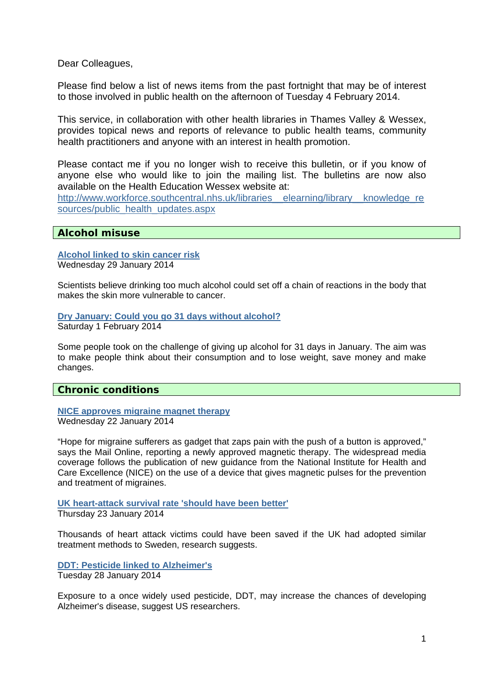Dear Colleagues,

Please find below a list of news items from the past fortnight that may be of interest to those involved in public health on the afternoon of Tuesday 4 February 2014.

This service, in collaboration with other health libraries in Thames Valley & Wessex, provides topical news and reports of relevance to public health teams, community health practitioners and anyone with an interest in health promotion.

Please contact me if you no longer wish to receive this bulletin, or if you know of anyone else who would like to join the mailing list. The bulletins are now also available on the Health Education Wessex website at:

http://www.workforce.southcentral.nhs.uk/libraries\_elearning/library\_knowledge\_re [sources/public\\_health\\_updates.aspx](http://www.workforce.southcentral.nhs.uk/libraries__elearning/library__knowledge_resources/public_health_updates.aspx)

## **Alcohol misuse**

**[Alcohol linked to skin cancer risk](http://www.bbc.co.uk/news/health-25930184)** Wednesday 29 January 2014

Scientists believe drinking too much alcohol could set off a chain of reactions in the body that makes the skin more vulnerable to cancer.

**[Dry January: Could you go 31 days without alcohol?](http://www.bbc.co.uk/news/health-25996438)** Saturday 1 February 2014

Some people took on the challenge of giving up alcohol for 31 days in January. The aim was to make people think about their consumption and to lose weight, save money and make changes.

**Chronic conditions** 

**[NICE approves migraine magnet therapy](http://www.nhs.uk/news/2014/01January/Pages/NICE-approves-migraine-magnet-therapy.aspx)** Wednesday 22 January 2014

"Hope for migraine sufferers as gadget that zaps pain with the push of a button is approved," says the Mail Online, reporting a newly approved magnetic therapy. The widespread media coverage follows the publication of new guidance from the National Institute for Health and Care Excellence (NICE) on the use of a device that gives magnetic pulses for the prevention and treatment of migraines.

**[UK heart-attack survival rate 'should have been better'](http://www.bbc.co.uk/news/health-25841930)** Thursday 23 January 2014

Thousands of heart attack victims could have been saved if the UK had adopted similar treatment methods to Sweden, research suggests.

**[DDT: Pesticide linked to Alzheimer's](http://www.bbc.co.uk/news/health-25913568)** Tuesday 28 January 2014

Exposure to a once widely used pesticide, DDT, may increase the chances of developing Alzheimer's disease, suggest US researchers.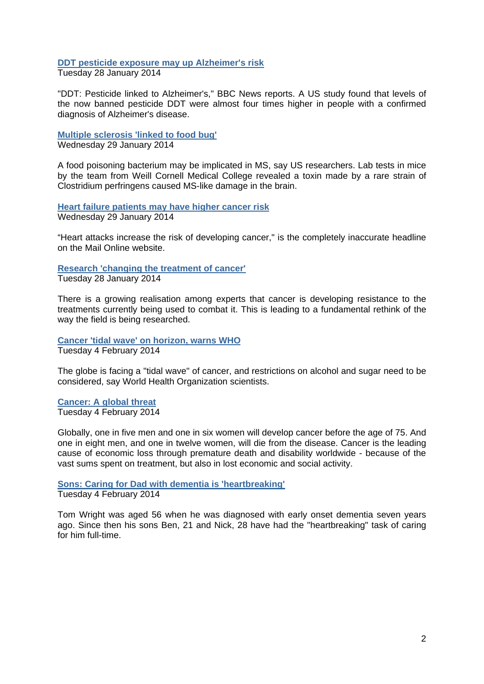#### **[DDT pesticide exposure may up Alzheimer's risk](http://www.nhs.uk/news/2014/01January/Pages/DDT-pesticide-exposure-may-up-Alzheimers-risk.aspx)**

Tuesday 28 January 2014

"DDT: Pesticide linked to Alzheimer's," BBC News reports. A US study found that levels of the now banned pesticide DDT were almost four times higher in people with a confirmed diagnosis of Alzheimer's disease.

**[Multiple sclerosis 'linked to food bug'](http://www.bbc.co.uk/news/health-25925658)**

Wednesday 29 January 2014

A food poisoning bacterium may be implicated in MS, say US researchers. Lab tests in mice by the team from Weill Cornell Medical College revealed a toxin made by a rare strain of Clostridium perfringens caused MS-like damage in the brain.

**[Heart failure patients may have higher cancer risk](http://www.nhs.uk/news/2014/01January/Pages/Heart-failure-patients-may-have-higher-cancer-risk.aspx)** Wednesday 29 January 2014

"Heart attacks increase the risk of developing cancer," is the completely inaccurate headline on the Mail Online website.

# **[Research 'changing the treatment of cancer'](http://www.bbc.co.uk/news/health-25924274)**

Tuesday 28 January 2014

There is a growing realisation among experts that cancer is developing resistance to the treatments currently being used to combat it. This is leading to a fundamental rethink of the way the field is being researched.

**[Cancer 'tidal wave' on horizon, warns WHO](http://www.bbc.co.uk/news/health-26014693)** Tuesday 4 February 2014

The globe is facing a "tidal wave" of cancer, and restrictions on alcohol and sugar need to be considered, say World Health Organization scientists.

## **[Cancer: A global threat](http://www.bbc.co.uk/news/health-26031748)**

Tuesday 4 February 2014

Globally, one in five men and one in six women will develop cancer before the age of 75. And one in eight men, and one in twelve women, will die from the disease. Cancer is the leading cause of economic loss through premature death and disability worldwide - because of the vast sums spent on treatment, but also in lost economic and social activity.

**[Sons: Caring for Dad with dementia is 'heartbreaking'](http://www.bbc.co.uk/news/health-26031974)** Tuesday 4 February 2014

Tom Wright was aged 56 when he was diagnosed with early onset dementia seven years ago. Since then his sons Ben, 21 and Nick, 28 have had the "heartbreaking" task of caring for him full-time.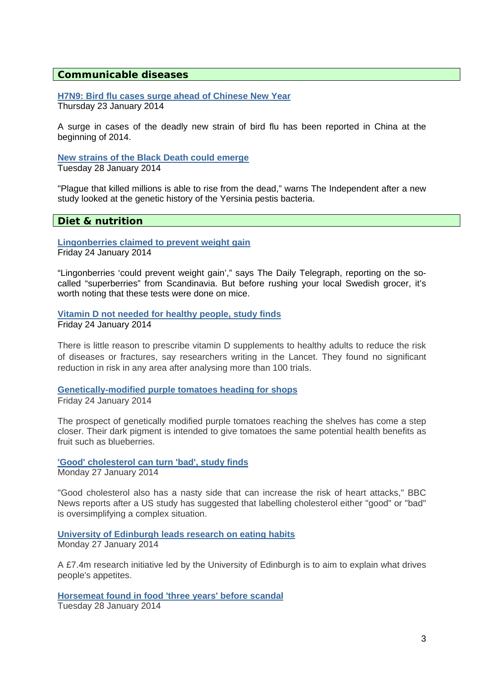#### **Communicable diseases**

**[H7N9: Bird flu cases surge ahead of Chinese New Year](http://www.bbc.co.uk/news/health-25849629)**

Thursday 23 January 2014

A surge in cases of the deadly new strain of bird flu has been reported in China at the beginning of 2014.

**[New strains of the Black Death could emerge](http://www.nhs.uk/news/2014/01January/Pages/New-strains-of-the-Black-Death-could-emerge.aspx)**

Tuesday 28 January 2014

"Plague that killed millions is able to rise from the dead," warns The Independent after a new study looked at the genetic history of the Yersinia pestis bacteria.

## **Diet & nutrition**

**[Lingonberries claimed to prevent weight gain](http://www.nhs.uk/news/2014/01January/Pages/Lingonberries-claimed-to-prevent-weight-gain.aspx)** Friday 24 January 2014

"Lingonberries 'could prevent weight gain'," says The Daily Telegraph, reporting on the socalled "superberries" from Scandinavia. But before rushing your local Swedish grocer, it's worth noting that these tests were done on mice.

**[Vitamin D not needed for healthy people, study finds](http://www.bbc.co.uk/news/health-25861078)** Friday 24 January 2014

There is little reason to prescribe vitamin D supplements to healthy adults to reduce the risk of diseases or fractures, say researchers writing in the Lancet. They found no significant reduction in risk in any area after analysing more than 100 trials.

**[Genetically-modified purple tomatoes heading for shops](http://www.bbc.co.uk/news/science-environment-25885756)**

Friday 24 January 2014

The prospect of genetically modified purple tomatoes reaching the shelves has come a step closer. Their dark pigment is intended to give tomatoes the same potential health benefits as fruit such as blueberries.

## **['Good' cholesterol can turn 'bad', study finds](http://www.nhs.uk/news/2014/01January/Pages/Good-cholesterol-can-turn-bad-study-finds.aspx)**

Monday 27 January 2014

"Good cholesterol also has a nasty side that can increase the risk of heart attacks," BBC News reports after a US study has suggested that labelling cholesterol either "good" or "bad" is oversimplifying a complex situation.

**[University of Edinburgh leads research on eating habits](http://www.bbc.co.uk/news/uk-scotland-25904449)** Monday 27 January 2014

A £7.4m research initiative led by the University of Edinburgh is to aim to explain what drives people's appetites.

**[Horsemeat found in food 'three years' before scandal](http://www.bbc.co.uk/news/uk-england-25914459)**

Tuesday 28 January 2014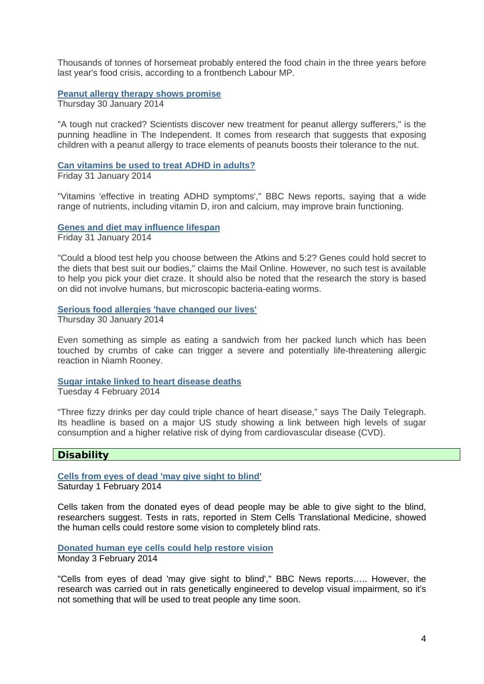Thousands of tonnes of horsemeat probably entered the food chain in the three years before last year's food crisis, according to a frontbench Labour MP.

#### **[Peanut allergy therapy shows promise](http://www.nhs.uk/news/2014/01January/Pages/Peanut-allergy-therapy-shows-promise.aspx)**

Thursday 30 January 2014

"A tough nut cracked? Scientists discover new treatment for peanut allergy sufferers," is the punning headline in The Independent. It comes from research that suggests that exposing children with a peanut allergy to trace elements of peanuts boosts their tolerance to the nut.

#### **[Can vitamins be used to treat ADHD in adults?](http://www.nhs.uk/news/2014/01January/Pages/Can-vitamins-be-used-to-treat-ADHD-in-adults.aspx)**

Friday 31 January 2014

"Vitamins 'effective in treating ADHD symptoms'," BBC News reports, saying that a wide range of nutrients, including vitamin D, iron and calcium, may improve brain functioning.

**[Genes and diet may influence lifespan](http://www.nhs.uk/news/2014/01January/Pages/Genes-may-impact-on-diet-and-aging.aspx)**

Friday 31 January 2014

"Could a blood test help you choose between the Atkins and 5:2? Genes could hold secret to the diets that best suit our bodies," claims the Mail Online. However, no such test is available to help you pick your diet craze. It should also be noted that the research the story is based on did not involve humans, but microscopic bacteria-eating worms.

#### **[Serious food allergies 'have changed our lives'](http://www.bbc.co.uk/news/health-25966298)**

Thursday 30 January 2014

Even something as simple as eating a sandwich from her packed lunch which has been touched by crumbs of cake can trigger a severe and potentially life-threatening allergic reaction in Niamh Rooney.

#### **[Sugar intake linked to heart disease deaths](http://www.nhs.uk/news/2014/02February/Pages/Sugar-intake-linked-to-heart-disease-deaths.aspx)**

Tuesday 4 February 2014

"Three fizzy drinks per day could triple chance of heart disease," says The Daily Telegraph. Its headline is based on a major US study showing a link between high levels of sugar consumption and a higher relative risk of dying from cardiovascular disease (CVD).

## **Disability**

**[Cells from eyes of dead 'may give sight to blind'](http://www.bbc.co.uk/news/health-25977215)** Saturday 1 February 2014

Cells taken from the donated eyes of dead people may be able to give sight to the blind, researchers suggest. Tests in rats, reported in Stem Cells Translational Medicine, showed the human cells could restore some vision to completely blind rats.

**[Donated human eye cells could help restore vision](http://www.nhs.uk/news/2014/02February/Pages/Donated-human-eye-cells-could-help-restore-vision.aspx)** Monday 3 February 2014

"Cells from eyes of dead 'may give sight to blind'," BBC News reports….. However, the research was carried out in rats genetically engineered to develop visual impairment, so it's not something that will be used to treat people any time soon.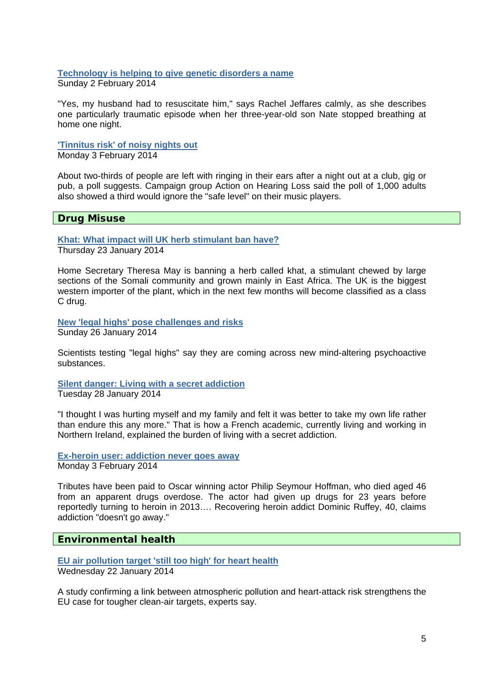#### **[Technology is helping to give genetic disorders a name](http://www.bbc.co.uk/news/health-25978111)** Sunday 2 February 2014

"Yes, my husband had to resuscitate him," says Rachel Jeffares calmly, as she describes one particularly traumatic episode when her three-year-old son Nate stopped breathing at home one night.

# **['Tinnitus risk' of noisy nights out](http://www.bbc.co.uk/news/health-25980275)**

Monday 3 February 2014

About two-thirds of people are left with ringing in their ears after a night out at a club, gig or pub, a poll suggests. Campaign group Action on Hearing Loss said the poll of 1,000 adults also showed a third would ignore the "safe level" on their music players.

# **Drug Misuse**

**[Khat: What impact will UK herb stimulant ban have?](http://www.bbc.co.uk/news/uk-25854577)** Thursday 23 January 2014

Home Secretary Theresa May is banning a herb called khat, a stimulant chewed by large sections of the Somali community and grown mainly in East Africa. The UK is the biggest western importer of the plant, which in the next few months will become classified as a class C drug.

**[New 'legal highs' pose challenges and risks](http://www.bbc.co.uk/news/uk-england-25878280)** Sunday 26 January 2014

Scientists testing "legal highs" say they are coming across new mind-altering psychoactive substances.

**[Silent danger: Living with a secret addiction](http://www.bbc.co.uk/news/uk-northern-ireland-25886818)**

Tuesday 28 January 2014

"I thought I was hurting myself and my family and felt it was better to take my own life rather than endure this any more." That is how a French academic, currently living and working in Northern Ireland, explained the burden of living with a secret addiction.

**[Ex-heroin user: addiction never goes away](http://www.bbc.co.uk/news/entertainment-arts-26015904)** Monday 3 February 2014

Tributes have been paid to Oscar winning actor Philip Seymour Hoffman, who died aged 46 from an apparent drugs overdose. The actor had given up drugs for 23 years before reportedly turning to heroin in 2013…. Recovering heroin addict Dominic Ruffey, 40, claims addiction "doesn't go away."

# **Environmental health**

**[EU air pollution target 'still too high' for heart health](http://www.bbc.co.uk/news/health-25827304)** Wednesday 22 January 2014

A study confirming a link between atmospheric pollution and heart-attack risk strengthens the EU case for tougher clean-air targets, experts say.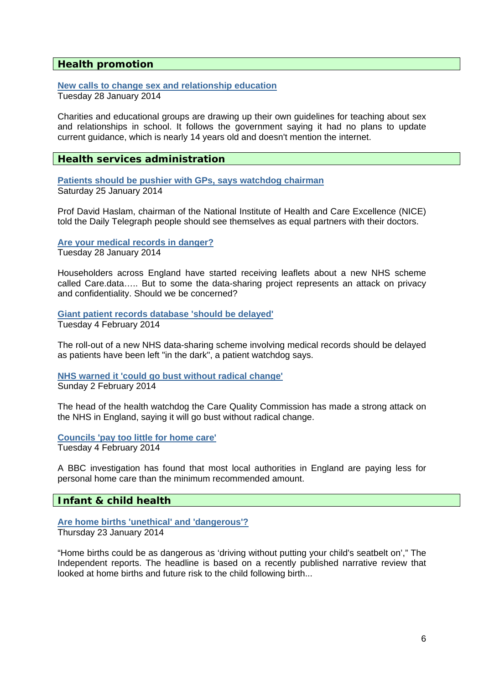## **Health promotion**

# **[New calls to change sex and relationship education](http://www.bbc.co.uk/newsbeat/25921487)**

Tuesday 28 January 2014

Charities and educational groups are drawing up their own guidelines for teaching about sex and relationships in school. It follows the government saying it had no plans to update current guidance, which is nearly 14 years old and doesn't mention the internet.

## **Health services administration**

**[Patients should be pushier with GPs, says watchdog chairman](http://www.bbc.co.uk/news/uk-25890572)** Saturday 25 January 2014

Prof David Haslam, chairman of the National Institute of Health and Care Excellence (NICE) told the Daily Telegraph people should see themselves as equal partners with their doctors.

**[Are your medical records in danger?](http://www.bbc.co.uk/news/health-25919399)** Tuesday 28 January 2014

Householders across England have started receiving leaflets about a new NHS scheme called Care.data….. But to some the data-sharing project represents an attack on privacy and confidentiality. Should we be concerned?

**[Giant patient records database 'should be delayed'](http://www.bbc.co.uk/news/uk-england-devon-26030479)** Tuesday 4 February 2014

The roll-out of a new NHS data-sharing scheme involving medical records should be delayed as patients have been left "in the dark", a patient watchdog says.

**[NHS warned it 'could go bust without radical change'](http://www.bbc.co.uk/news/health-26005262)** Sunday 2 February 2014

The head of the health watchdog the Care Quality Commission has made a strong attack on the NHS in England, saying it will go bust without radical change.

**[Councils 'pay too little for home care'](http://www.bbc.co.uk/news/uk-26028944)**

Tuesday 4 February 2014

A BBC investigation has found that most local authorities in England are paying less for personal home care than the minimum recommended amount.

## **Infant & child health**

## **[Are home births 'unethical' and 'dangerous'?](http://www.nhs.uk/news/2014/01January/Pages/Are-home-births-unethical-and-dangerous.aspx)**

Thursday 23 January 2014

"Home births could be as dangerous as 'driving without putting your child's seatbelt on'," The Independent reports. The headline is based on a recently published narrative review that looked at home births and future risk to the child following birth...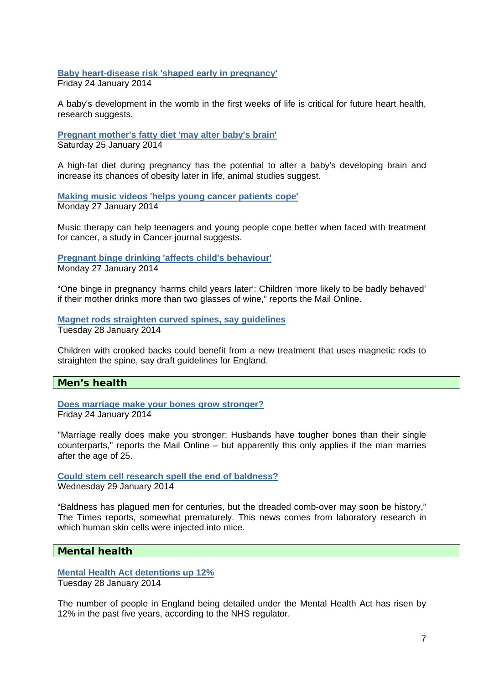**[Baby heart-disease risk 'shaped early in pregnancy'](http://www.bbc.co.uk/news/health-25850664)** Friday 24 January 2014

A baby's development in the womb in the first weeks of life is critical for future heart health, research suggests.

**[Pregnant mother's fatty diet 'may alter baby's brain'](http://www.bbc.co.uk/news/health-25864893)** Saturday 25 January 2014

A high-fat diet during pregnancy has the potential to alter a baby's developing brain and increase its chances of obesity later in life, animal studies suggest.

**[Making music videos 'helps young cancer patients cope'](http://www.bbc.co.uk/news/health-25878958)** Monday 27 January 2014

Music therapy can help teenagers and young people cope better when faced with treatment for cancer, a study in Cancer journal suggests.

**[Pregnant binge drinking 'affects child's behaviour'](http://www.nhs.uk/news/2014/01January/Pages/Pregnant-binge-drinking-affects-childs-behaviour.aspx)** Monday 27 January 2014

"One binge in pregnancy 'harms child years later': Children 'more likely to be badly behaved' if their mother drinks more than two glasses of wine," reports the Mail Online.

**[Magnet rods straighten curved spines, say guidelines](http://www.bbc.co.uk/news/health-25911384)** Tuesday 28 January 2014

Children with crooked backs could benefit from a new treatment that uses magnetic rods to straighten the spine, say draft guidelines for England.

## **Men's health**

**[Does marriage make your bones grow stronger?](http://www.nhs.uk/news/2014/01January/Pages/Does-marriage-make-your-bones-grow-stronger.aspx)** Friday 24 January 2014

"Marriage really does make you stronger: Husbands have tougher bones than their single counterparts," reports the Mail Online – but apparently this only applies if the man marries after the age of 25.

**[Could stem cell research spell the end of baldness?](http://www.nhs.uk/news/2014/01January/Pages/Could-stem-cell-research-spell-the-end-of-baldness.aspx)** Wednesday 29 January 2014

"Baldness has plagued men for centuries, but the dreaded comb-over may soon be history," The Times reports, somewhat prematurely. This news comes from laboratory research in which human skin cells were injected into mice.

## **Mental health**

**[Mental Health Act detentions up 12%](http://www.bbc.co.uk/news/health-25926205)** Tuesday 28 January 2014

The number of people in England being detailed under the Mental Health Act has risen by 12% in the past five years, according to the NHS regulator.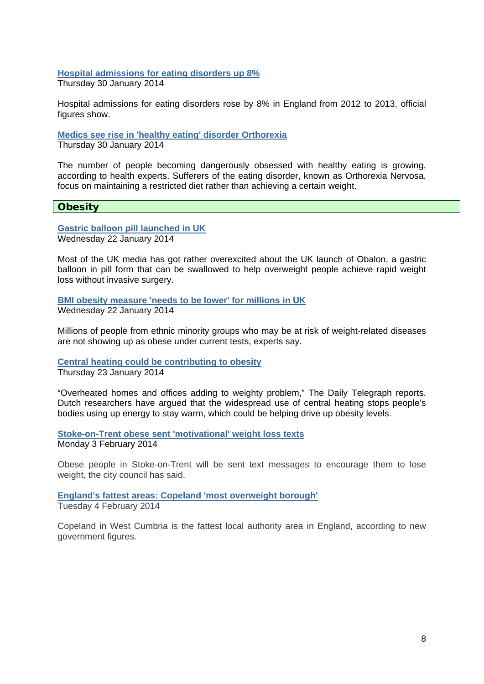**[Hospital admissions for eating disorders up 8%](http://www.bbc.co.uk/news/health-25960988)** Thursday 30 January 2014

Hospital admissions for eating disorders rose by 8% in England from 2012 to 2013, official figures show.

**[Medics see rise in 'healthy eating' disorder Orthorexia](http://www.bbc.co.uk/news/health-25967423)**

Thursday 30 January 2014

The number of people becoming dangerously obsessed with healthy eating is growing, according to health experts. Sufferers of the eating disorder, known as Orthorexia Nervosa, focus on maintaining a restricted diet rather than achieving a certain weight.

## **Obesity**

**[Gastric balloon pill launched in UK](http://www.nhs.uk/news/2014/01January/Pages/Gastric-balloon-pill-launched-in-UK.aspx)** Wednesday 22 January 2014

Most of the UK media has got rather overexcited about the UK launch of Obalon, a gastric balloon in pill form that can be swallowed to help overweight people achieve rapid weight loss without invasive surgery.

**[BMI obesity measure 'needs to be lower' for millions in UK](http://www.bbc.co.uk/news/health-25829083)** Wednesday 22 January 2014

Millions of people from ethnic minority groups who may be at risk of weight-related diseases are not showing up as obese under current tests, experts say.

**[Central heating could be contributing to obesity](http://www.nhs.uk/news/2014/01January/Pages/Central-heating-could-be-contributing-to-obesity.aspx)** Thursday 23 January 2014

"Overheated homes and offices adding to weighty problem," The Daily Telegraph reports. Dutch researchers have argued that the widespread use of central heating stops people's bodies using up energy to stay warm, which could be helping drive up obesity levels.

**[Stoke-on-Trent obese sent 'motivational' weight loss texts](http://www.bbc.co.uk/news/uk-england-stoke-staffordshire-26021215)** Monday 3 February 2014

Obese people in Stoke-on-Trent will be sent text messages to encourage them to lose weight, the city council has said.

**[England's fattest areas: Copeland 'most overweight borough'](http://www.bbc.co.uk/news/uk-england-26037619)**

Tuesday 4 February 2014

Copeland in West Cumbria is the fattest local authority area in England, according to new government figures.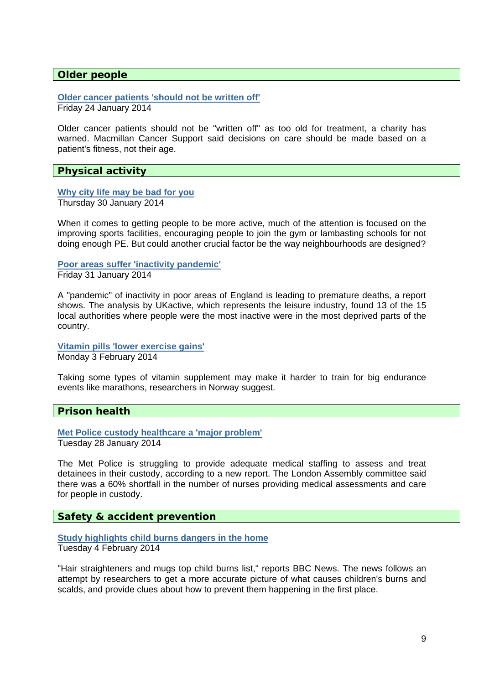#### **Older people**

**[Older cancer patients 'should not be written off'](http://www.bbc.co.uk/news/uk-25873930)**

Friday 24 January 2014

Older cancer patients should not be "written off" as too old for treatment, a charity has warned. Macmillan Cancer Support said decisions on care should be made based on a patient's fitness, not their age.

## **Physical activity**

#### **[Why city life may be bad for you](http://www.bbc.co.uk/news/health-25942138)**

Thursday 30 January 2014

When it comes to getting people to be more active, much of the attention is focused on the improving sports facilities, encouraging people to join the gym or lambasting schools for not doing enough PE. But could another crucial factor be the way neighbourhoods are designed?

#### **[Poor areas suffer 'inactivity pandemic'](http://www.bbc.co.uk/news/health-25959582)**

Friday 31 January 2014

A "pandemic" of inactivity in poor areas of England is leading to premature deaths, a report shows. The analysis by UKactive, which represents the leisure industry, found 13 of the 15 local authorities where people were the most inactive were in the most deprived parts of the country.

**[Vitamin pills 'lower exercise gains'](http://www.bbc.co.uk/news/health-25985668)** Monday 3 February 2014

Taking some types of vitamin supplement may make it harder to train for big endurance events like marathons, researchers in Norway suggest.

## **Prison health**

**[Met Police custody healthcare a 'major problem'](http://www.bbc.co.uk/news/uk-england-london-25918465)** Tuesday 28 January 2014

The Met Police is struggling to provide adequate medical staffing to assess and treat detainees in their custody, according to a new report. The London Assembly committee said there was a 60% shortfall in the number of nurses providing medical assessments and care for people in custody.

## **Safety & accident prevention**

# **[Study highlights child burns dangers in the home](http://www.nhs.uk/news/2014/02February/Pages/Study-highlights-child-burns-dangers-in-home.aspx)**

Tuesday 4 February 2014

"Hair straighteners and mugs top child burns list," reports BBC News. The news follows an attempt by researchers to get a more accurate picture of what causes children's burns and scalds, and provide clues about how to prevent them happening in the first place.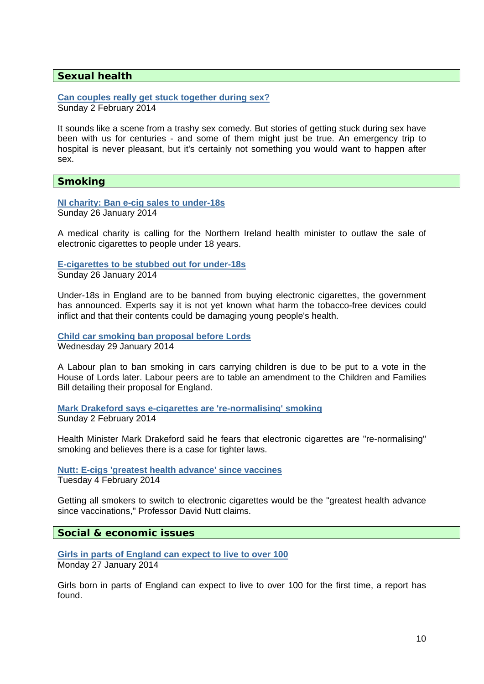# **Sexual health**

**[Can couples really get stuck together during sex?](http://www.bbc.co.uk/news/magazine-25827175)** Sunday 2 February 2014

It sounds like a scene from a trashy sex comedy. But stories of getting stuck during sex have been with us for centuries - and some of them might just be true. An emergency trip to hospital is never pleasant, but it's certainly not something you would want to happen after sex.

#### **Smoking**

**[NI charity: Ban e-cig sales to under-18s](http://www.bbc.co.uk/news/uk-northern-ireland-25902179)** Sunday 26 January 2014

A medical charity is calling for the Northern Ireland health minister to outlaw the sale of electronic cigarettes to people under 18 years.

**[E-cigarettes to be stubbed out for under-18s](http://www.bbc.co.uk/news/uk-25900542)**

Sunday 26 January 2014

Under-18s in England are to be banned from buying electronic cigarettes, the government has announced. Experts say it is not yet known what harm the tobacco-free devices could inflict and that their contents could be damaging young people's health.

**[Child car smoking ban proposal before Lords](http://www.bbc.co.uk/news/uk-politics-25939908)** Wednesday 29 January 2014

A Labour plan to ban smoking in cars carrying children is due to be put to a vote in the House of Lords later. Labour peers are to table an amendment to the Children and Families Bill detailing their proposal for England.

**[Mark Drakeford says e-cigarettes are 're-normalising' smoking](http://www.bbc.co.uk/news/uk-wales-26008450)** Sunday 2 February 2014

Health Minister Mark Drakeford said he fears that electronic cigarettes are "re-normalising" smoking and believes there is a case for tighter laws.

**[Nutt: E-cigs 'greatest health advance' since vaccines](http://www.bbc.co.uk/news/health-26036064)** Tuesday 4 February 2014

Getting all smokers to switch to electronic cigarettes would be the "greatest health advance since vaccinations," Professor David Nutt claims.

**Social & economic issues** 

**[Girls in parts of England can expect to live to over 100](http://www.bbc.co.uk/news/health-25917519)** Monday 27 January 2014

Girls born in parts of England can expect to live to over 100 for the first time, a report has found.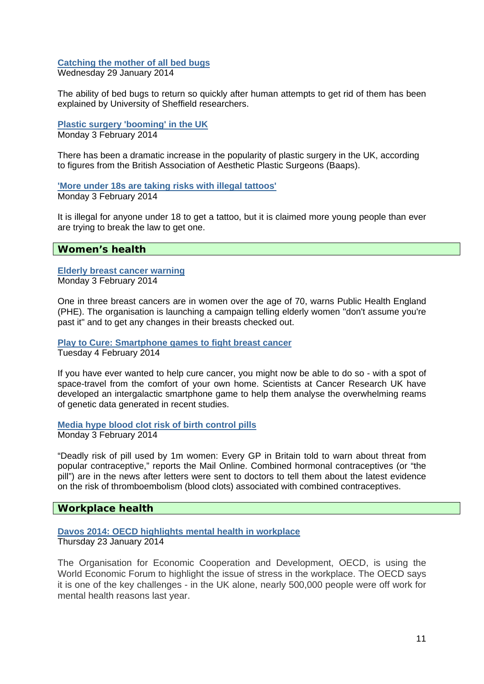# **[Catching the mother of all bed bugs](http://www.bbc.co.uk/news/education-25947072)**

Wednesday 29 January 2014

The ability of bed bugs to return so quickly after human attempts to get rid of them has been explained by University of Sheffield researchers.

#### **[Plastic surgery 'booming' in the UK](http://www.bbc.co.uk/news/health-25986840)** Monday 3 February 2014

There has been a dramatic increase in the popularity of plastic surgery in the UK, according to figures from the British Association of Aesthetic Plastic Surgeons (Baaps).

**['More under 18s are taking risks with illegal tattoos'](http://www.bbc.co.uk/news/uk-26013128)** Monday 3 February 2014

It is illegal for anyone under 18 to get a tattoo, but it is claimed more young people than ever are trying to break the law to get one.

## **Women's health**

#### **[Elderly breast cancer warning](http://www.bbc.co.uk/news/health-26014686)** Monday 3 February 2014

One in three breast cancers are in women over the age of 70, warns Public Health England (PHE). The organisation is launching a campaign telling elderly women "don't assume you're past it" and to get any changes in their breasts checked out.

#### **[Play to Cure: Smartphone games to fight breast cancer](http://www.bbc.co.uk/news/health-26009350)** Tuesday 4 February 2014

If you have ever wanted to help cure cancer, you might now be able to do so - with a spot of space-travel from the comfort of your own home. Scientists at Cancer Research UK have developed an intergalactic smartphone game to help them analyse the overwhelming reams of genetic data generated in recent studies.

#### **[Media hype blood clot risk of birth control pills](http://www.nhs.uk/news/2014/02February/Pages/Media-hype-blood-clot-risk-of-birth-control-pills.aspx)** Monday 3 February 2014

"Deadly risk of pill used by 1m women: Every GP in Britain told to warn about threat from popular contraceptive," reports the Mail Online. Combined hormonal contraceptives (or "the pill") are in the news after letters were sent to doctors to tell them about the latest evidence on the risk of thromboembolism (blood clots) associated with combined contraceptives.

# **Workplace health**

## **[Davos 2014: OECD highlights mental health in workplace](http://www.bbc.co.uk/news/business-25849291)**

Thursday 23 January 2014

The Organisation for Economic Cooperation and Development, OECD, is using the World Economic Forum to highlight the issue of stress in the workplace. The OECD says it is one of the key challenges - in the UK alone, nearly 500,000 people were off work for mental health reasons last year.